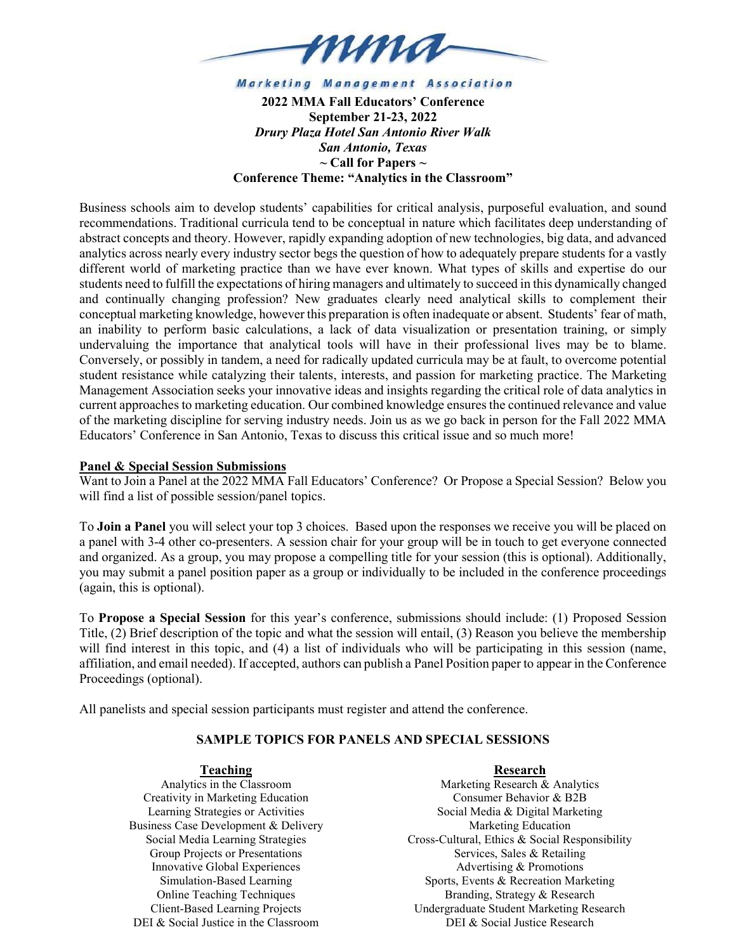

**Marketing Management Association** 

2022 MMA Fall Educators' Conference September 21-23, 2022 Drury Plaza Hotel San Antonio River Walk San Antonio, Texas  $\sim$  Call for Papers  $\sim$ Conference Theme: "Analytics in the Classroom"

Business schools aim to develop students' capabilities for critical analysis, purposeful evaluation, and sound recommendations. Traditional curricula tend to be conceptual in nature which facilitates deep understanding of abstract concepts and theory. However, rapidly expanding adoption of new technologies, big data, and advanced analytics across nearly every industry sector begs the question of how to adequately prepare students for a vastly different world of marketing practice than we have ever known. What types of skills and expertise do our students need to fulfill the expectations of hiring managers and ultimately to succeed in this dynamically changed and continually changing profession? New graduates clearly need analytical skills to complement their conceptual marketing knowledge, however this preparation is often inadequate or absent. Students' fear of math, an inability to perform basic calculations, a lack of data visualization or presentation training, or simply undervaluing the importance that analytical tools will have in their professional lives may be to blame. Conversely, or possibly in tandem, a need for radically updated curricula may be at fault, to overcome potential student resistance while catalyzing their talents, interests, and passion for marketing practice. The Marketing Management Association seeks your innovative ideas and insights regarding the critical role of data analytics in current approaches to marketing education. Our combined knowledge ensures the continued relevance and value of the marketing discipline for serving industry needs. Join us as we go back in person for the Fall 2022 MMA Educators' Conference in San Antonio, Texas to discuss this critical issue and so much more!

### Panel & Special Session Submissions

Want to Join a Panel at the 2022 MMA Fall Educators' Conference? Or Propose a Special Session? Below you will find a list of possible session/panel topics.

To Join a Panel you will select your top 3 choices. Based upon the responses we receive you will be placed on a panel with 3-4 other co-presenters. A session chair for your group will be in touch to get everyone connected and organized. As a group, you may propose a compelling title for your session (this is optional). Additionally, you may submit a panel position paper as a group or individually to be included in the conference proceedings (again, this is optional).

To Propose a Special Session for this year's conference, submissions should include: (1) Proposed Session Title, (2) Brief description of the topic and what the session will entail, (3) Reason you believe the membership will find interest in this topic, and (4) a list of individuals who will be participating in this session (name, affiliation, and email needed). If accepted, authors can publish a Panel Position paper to appear in the Conference Proceedings (optional).

All panelists and special session participants must register and attend the conference.

# SAMPLE TOPICS FOR PANELS AND SPECIAL SESSIONS

### Teaching

Analytics in the Classroom Creativity in Marketing Education Learning Strategies or Activities Business Case Development & Delivery Social Media Learning Strategies Group Projects or Presentations Innovative Global Experiences Simulation-Based Learning Online Teaching Techniques Client-Based Learning Projects DEI & Social Justice in the Classroom

Research Marketing Research & Analytics Consumer Behavior & B2B Social Media & Digital Marketing Marketing Education Cross-Cultural, Ethics & Social Responsibility Services, Sales & Retailing Advertising & Promotions Sports, Events & Recreation Marketing Branding, Strategy & Research Undergraduate Student Marketing Research DEI & Social Justice Research